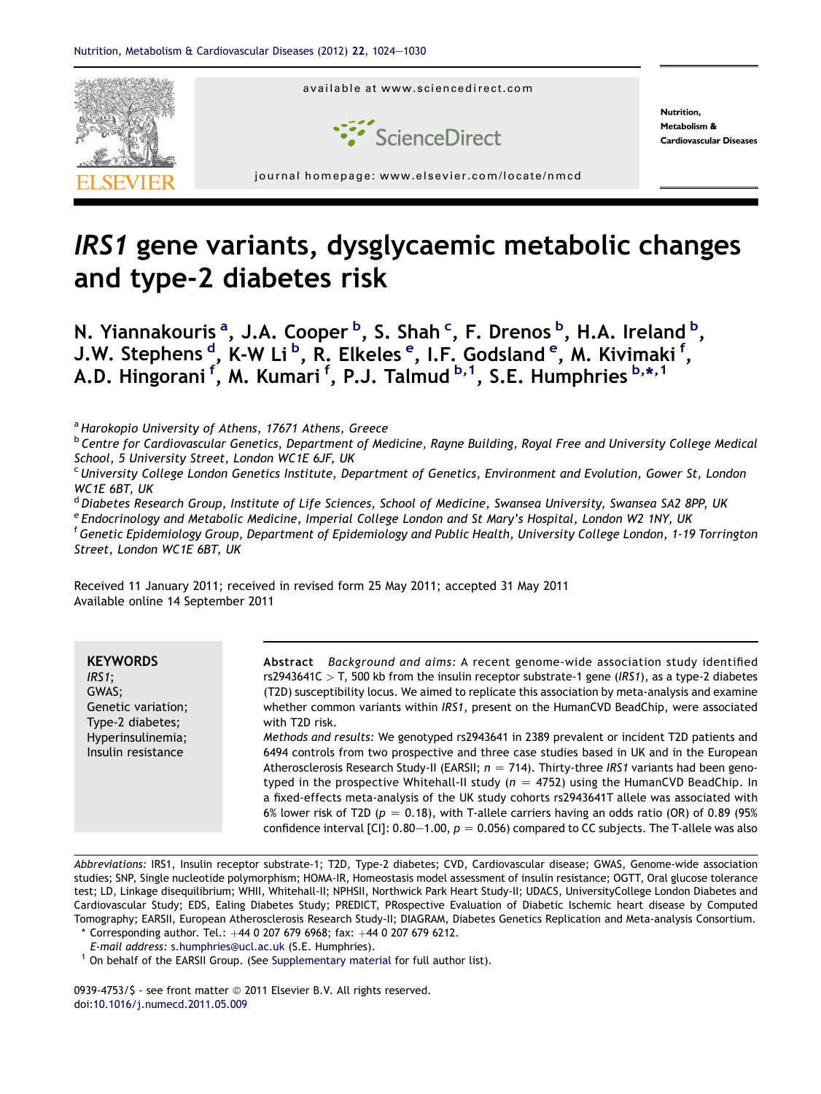

# IRS1 gene variants, dysglycaemic metabolic changes and type-2 diabetes risk

N. Yiannakouris <sup>a</sup>, J.A. Cooper <sup>b</sup>, S. Shah <sup>c</sup>, F. Drenos <sup>b</sup>, H.A. Ireland <sup>b</sup>, J.W. Stephens <sup>d</sup>, K-W Li <sup>b</sup>, R. Elkeles <sup>e</sup>, I.F. Godsland <sup>e</sup>, M. Kivimaki <sup>f</sup>, A.D. Hingorani <sup>f</sup>, M. Kumari <sup>f</sup>, P.J. Talmud <sup>b, 1</sup>, S.E. Humphries <sup>b,\*, 1</sup>

<sup>a</sup> Harokopio University of Athens, 17671 Athens, Greece

**b Centre for Cardiovascular Genetics, Department of Medicine, Rayne Building, Royal Free and University College Medical** School, 5 University Street, London WC1E 6JF, UK

<sup>c</sup> University College London Genetics Institute, Department of Genetics, Environment and Evolution, Gower St, London WC1E 6BT, UK

<sup>d</sup> Diabetes Research Group, Institute of Life Sciences, School of Medicine, Swansea University, Swansea SA2 8PP, UK

e Endocrinology and Metabolic Medicine, Imperial College London and St Mary's Hospital, London W2 1NY, UK

<sup>f</sup> Genetic Epidemiology Group, Department of Epidemiology and Public Health, University College London, 1-19 Torrington Street, London WC1E 6BT, UK

Received 11 January 2011; received in revised form 25 May 2011; accepted 31 May 2011 Available online 14 September 2011

| <b>KEYWORDS</b><br>$IRS1$ ;<br>GWAS;<br>Genetic variation;<br>Type-2 diabetes;<br>Hyperinsulinemia;<br>Insulin resistance | Abstract Background and aims: A recent genome-wide association study identified<br>rs2943641C $>$ T, 500 kb from the insulin receptor substrate-1 gene (IRS1), as a type-2 diabetes<br>(T2D) susceptibility locus. We aimed to replicate this association by meta-analysis and examine<br>whether common variants within IRS1, present on the HumanCVD BeadChip, were associated<br>with T2D risk.<br>Methods and results: We genotyped rs2943641 in 2389 prevalent or incident T2D patients and<br>6494 controls from two prospective and three case studies based in UK and in the European<br>Atherosclerosis Research Study-II (EARSII; $n = 714$ ). Thirty-three IRS1 variants had been geno-<br>typed in the prospective Whitehall-II study ( $n = 4752$ ) using the HumanCVD BeadChip. In<br>a fixed-effects meta-analysis of the UK study cohorts rs2943641T allele was associated with<br>6% lower risk of T2D ( $p = 0.18$ ), with T-allele carriers having an odds ratio (OR) of 0.89 (95%<br>confidence interval [CI]: 0.80–1.00, $p = 0.056$ compared to CC subjects. The T-allele was also |
|---------------------------------------------------------------------------------------------------------------------------|----------------------------------------------------------------------------------------------------------------------------------------------------------------------------------------------------------------------------------------------------------------------------------------------------------------------------------------------------------------------------------------------------------------------------------------------------------------------------------------------------------------------------------------------------------------------------------------------------------------------------------------------------------------------------------------------------------------------------------------------------------------------------------------------------------------------------------------------------------------------------------------------------------------------------------------------------------------------------------------------------------------------------------------------------------------------------------------------------------|
|                                                                                                                           |                                                                                                                                                                                                                                                                                                                                                                                                                                                                                                                                                                                                                                                                                                                                                                                                                                                                                                                                                                                                                                                                                                          |

Abbreviations: IRS1, Insulin receptor substrate-1; T2D, Type-2 diabetes; CVD, Cardiovascular disease; GWAS, Genome-wide association studies; SNP, Single nucleotide polymorphism; HOMA-IR, Homeostasis model assessment of insulin resistance; OGTT, Oral glucose tolerance test; LD, Linkage disequilibrium; WHII, Whitehall-II; NPHSII, Northwick Park Heart Study-II; UDACS, UniversityCollege London Diabetes and Cardiovascular Study; EDS, Ealing Diabetes Study; PREDICT, PRospective Evaluation of Diabetic Ischemic heart disease by Computed Tomography; EARSII, European Atherosclerosis Research Study-II; DIAGRAM, Diabetes Genetics Replication and Meta-analysis Consortium.

\* Corresponding author. Tel.: +44 0 207 679 6968; fax: +44 0 207 679 6212.<br>E-mail address: s.humphries@ucl.ac.uk (S.E. Humphries).

 $^1$  On behalf of the EARSII Group. (See Supplementary material for full author list).

0939-4753/\$ - see front matter @ 2011 Elsevier B.V. All rights reserved. doi:[10.1016/j.numecd.2011.05.009](http://dx.doi.org/10.1016/j.numecd.2011.05.009)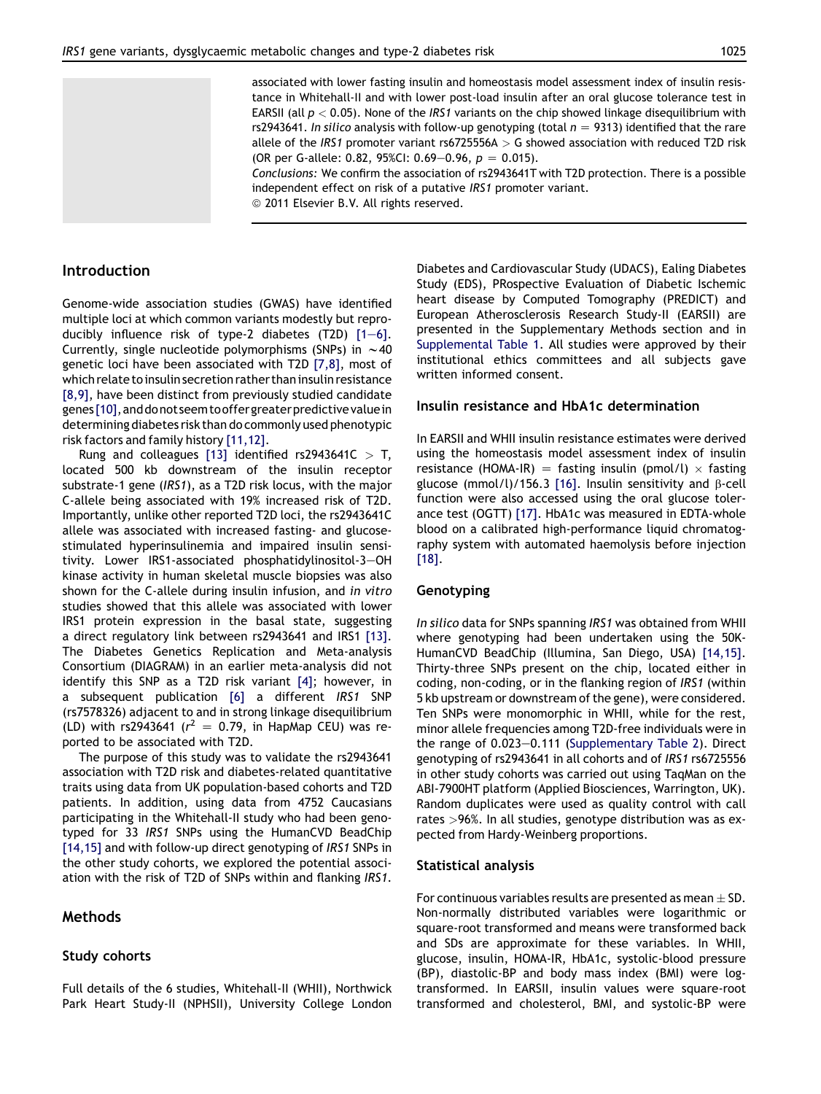

# Introduction

Genome-wide association studies (GWAS) have identified multiple loci at which common variants modestly but reproducibly influence risk of type-2 diabetes  $(T2D)$   $[1-6]$  $[1-6]$  $[1-6]$ . Currently, single nucleotide polymorphisms (SNPs) in  $\sim$  40 genetic loci have been associated with T2D [\[7,8\],](#page-5-0) most of which relate to insulin secretion rather than insulin resistance [\[8,9\],](#page-5-0) have been distinct from previously studied candidate genes [\[10\]](#page-5-0), and donot seem to offer greater predictive value in determining diabetes risk than do commonly used phenotypic risk factors and family history [\[11,12\].](#page-5-0)

Rung and colleagues [\[13\]](#page-5-0) identified rs2943641C  $>$  T, located 500 kb downstream of the insulin receptor substrate-1 gene (IRS1), as a T2D risk locus, with the major C-allele being associated with 19% increased risk of T2D. Importantly, unlike other reported T2D loci, the rs2943641C allele was associated with increased fasting- and glucosestimulated hyperinsulinemia and impaired insulin sensitivity. Lower IRS1-associated phosphatidylinositol-3-OH kinase activity in human skeletal muscle biopsies was also shown for the C-allele during insulin infusion, and in vitro studies showed that this allele was associated with lower IRS1 protein expression in the basal state, suggesting a direct regulatory link between rs2943641 and IRS1 [\[13\]](#page-5-0). The Diabetes Genetics Replication and Meta-analysis Consortium (DIAGRAM) in an earlier meta-analysis did not identify this SNP as a T2D risk variant [\[4\]](#page-5-0); however, in a subsequent publication [\[6\]](#page-5-0) a different IRS1 SNP (rs7578326) adjacent to and in strong linkage disequilibrium (LD) with rs2943641 ( $r^2 = 0.79$ , in HapMap CEU) was reported to be associated with T2D.

The purpose of this study was to validate the rs2943641 association with T2D risk and diabetes-related quantitative traits using data from UK population-based cohorts and T2D patients. In addition, using data from 4752 Caucasians participating in the Whitehall-II study who had been genotyped for 33 IRS1 SNPs using the HumanCVD BeadChip [\[14,15\]](#page-5-0) and with follow-up direct genotyping of IRS1 SNPs in the other study cohorts, we explored the potential association with the risk of T2D of SNPs within and flanking IRS1.

## Methods

#### Study cohorts

Full details of the 6 studies, Whitehall-II (WHII), Northwick Park Heart Study-II (NPHSII), University College London Diabetes and Cardiovascular Study (UDACS), Ealing Diabetes Study (EDS), PRospective Evaluation of Diabetic Ischemic heart disease by Computed Tomography (PREDICT) and European Atherosclerosis Research Study-II (EARSII) are presented in the Supplementary Methods section and in Supplemental Table 1. All studies were approved by their institutional ethics committees and all subjects gave written informed consent.

#### Insulin resistance and HbA1c determination

associated with lower fasting insulin and homeostasis model assessment index of insulin resistance in Whitehall-II and with lower post-load insulin after an oral glucose tolerance test in EARSII (all  $p < 0.05$ ). None of the IRS1 variants on the chip showed linkage disequilibrium with rs2943641. In silico analysis with follow-up genotyping (total  $n = 9313$ ) identified that the rare allele of the IRS1 promoter variant rs6725556A  $>$  G showed association with reduced T2D risk

Conclusions: We confirm the association of rs2943641T with T2D protection. There is a possible

(OR per G-allele: 0.82, 95%CI: 0.69-0.96,  $p = 0.015$ ).

<sup>©</sup> 2011 Elsevier B.V. All rights reserved.

independent effect on risk of a putative IRS1 promoter variant.

In EARSII and WHII insulin resistance estimates were derived using the homeostasis model assessment index of insulin resistance (HOMA-IR) = fasting insulin (pmol/l)  $\times$  fasting glucose (mmol/l)/156.3 [\[16\].](#page-5-0) Insulin sensitivity and  $\beta$ -cell function were also accessed using the oral glucose tolerance test (OGTT) [\[17\]](#page-5-0). HbA1c was measured in EDTA-whole blood on a calibrated high-performance liquid chromatography system with automated haemolysis before injection [\[18\]](#page-5-0).

## Genotyping

In silico data for SNPs spanning IRS1 was obtained from WHII where genotyping had been undertaken using the 50K-HumanCVD BeadChip (Illumina, San Diego, USA) [\[14,15\]](#page-5-0). Thirty-three SNPs present on the chip, located either in coding, non-coding, or in the flanking region of IRS1 (within 5 kb upstream or downstream of the gene), were considered. Ten SNPs were monomorphic in WHII, while for the rest, minor allele frequencies among T2D-free individuals were in the range of  $0.023-0.111$  (Supplementary Table 2). Direct genotyping of rs2943641 in all cohorts and of IRS1 rs6725556 in other study cohorts was carried out using TaqMan on the ABI-7900HT platform (Applied Biosciences, Warrington, UK). Random duplicates were used as quality control with call rates >96%. In all studies, genotype distribution was as expected from Hardy-Weinberg proportions.

#### Statistical analysis

For continuous variables results are presented as mean  $\pm$  SD. Non-normally distributed variables were logarithmic or square-root transformed and means were transformed back and SDs are approximate for these variables. In WHII, glucose, insulin, HOMA-IR, HbA1c, systolic-blood pressure (BP), diastolic-BP and body mass index (BMI) were logtransformed. In EARSII, insulin values were square-root transformed and cholesterol, BMI, and systolic-BP were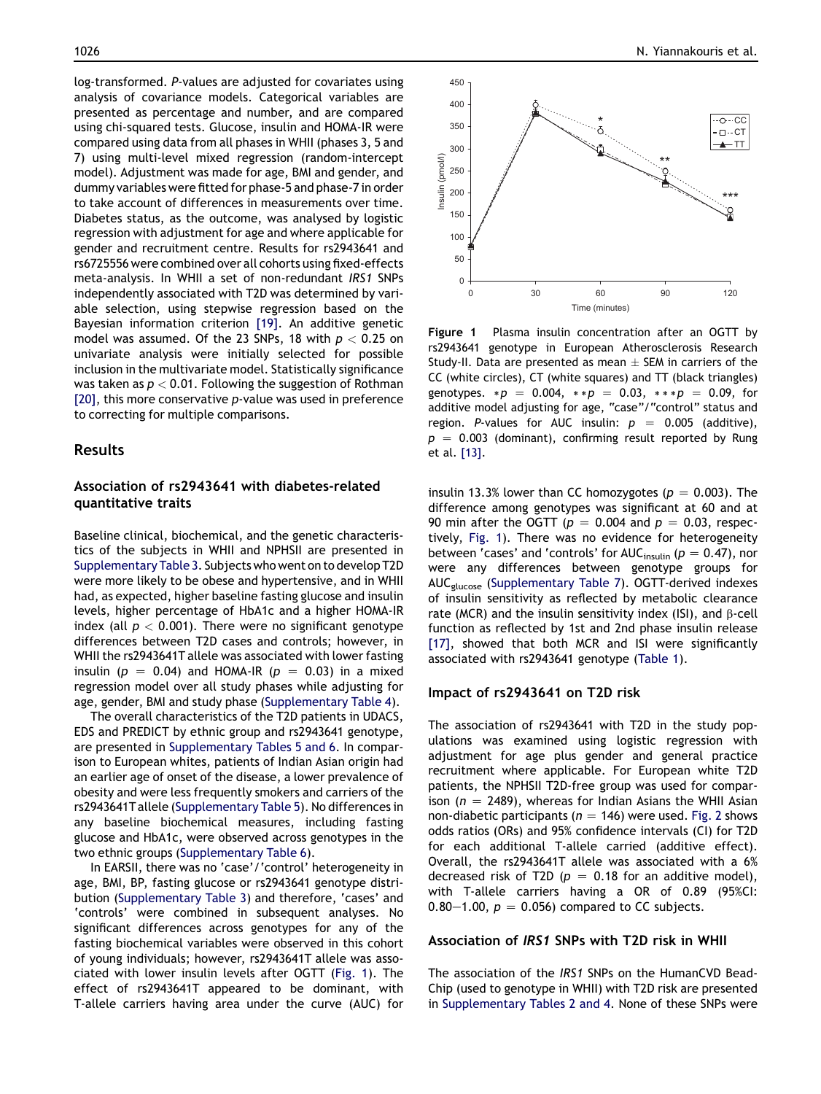log-transformed. P-values are adjusted for covariates using analysis of covariance models. Categorical variables are presented as percentage and number, and are compared using chi-squared tests. Glucose, insulin and HOMA-IR were compared using data from all phases in WHII (phases 3, 5 and 7) using multi-level mixed regression (random-intercept model). Adjustment was made for age, BMI and gender, and dummy variables were fitted for phase-5 and phase-7 in order to take account of differences in measurements over time. Diabetes status, as the outcome, was analysed by logistic regression with adjustment for age and where applicable for gender and recruitment centre. Results for rs2943641 and rs6725556 were combined over all cohorts using fixed-effects meta-analysis. In WHII a set of non-redundant IRS1 SNPs independently associated with T2D was determined by variable selection, using stepwise regression based on the Bayesian information criterion [\[19\].](#page-5-0) An additive genetic model was assumed. Of the 23 SNPs, 18 with  $p < 0.25$  on univariate analysis were initially selected for possible inclusion in the multivariate model. Statistically significance was taken as  $p < 0.01$ . Following the suggestion of Rothman [\[20\],](#page-6-0) this more conservative p-value was used in preference to correcting for multiple comparisons.

### Results

### Association of rs2943641 with diabetes-related quantitative traits

Baseline clinical, biochemical, and the genetic characteristics of the subjects in WHII and NPHSII are presented in Supplementary Table 3. Subjects who went on to develop T2D were more likely to be obese and hypertensive, and in WHII had, as expected, higher baseline fasting glucose and insulin levels, higher percentage of HbA1c and a higher HOMA-IR index (all  $p < 0.001$ ). There were no significant genotype differences between T2D cases and controls; however, in WHII the rs2943641T allele was associated with lower fasting insulin ( $p = 0.04$ ) and HOMA-IR ( $p = 0.03$ ) in a mixed regression model over all study phases while adjusting for age, gender, BMI and study phase (Supplementary Table 4).

The overall characteristics of the T2D patients in UDACS, EDS and PREDICT by ethnic group and rs2943641 genotype, are presented in Supplementary Tables 5 and 6. In comparison to European whites, patients of Indian Asian origin had an earlier age of onset of the disease, a lower prevalence of obesity and were less frequently smokers and carriers of the rs2943641T allele (Supplementary Table 5). No differences in any baseline biochemical measures, including fasting glucose and HbA1c, were observed across genotypes in the two ethnic groups (Supplementary Table 6).

In EARSII, there was no 'case'/'control' heterogeneity in age, BMI, BP, fasting glucose or rs2943641 genotype distribution (Supplementary Table 3) and therefore, 'cases' and 'controls' were combined in subsequent analyses. No significant differences across genotypes for any of the fasting biochemical variables were observed in this cohort of young individuals; however, rs2943641T allele was associated with lower insulin levels after OGTT (Fig. 1). The effect of rs2943641T appeared to be dominant, with T-allele carriers having area under the curve (AUC) for



Figure 1 Plasma insulin concentration after an OGTT by rs2943641 genotype in European Atherosclerosis Research Study-II. Data are presented as mean  $\pm$  SEM in carriers of the CC (white circles), CT (white squares) and TT (black triangles) genotypes.  $*p = 0.004$ ,  $* p = 0.03$ ,  $* * p = 0.09$ , for additive model adjusting for age, "case"/"control" status and region. P-values for AUC insulin:  $p = 0.005$  (additive),  $p = 0.003$  (dominant), confirming result reported by Rung et al. [\[13\].](#page-5-0)

insulin 13.3% lower than CC homozygotes ( $p = 0.003$ ). The difference among genotypes was significant at 60 and at 90 min after the OGTT ( $p = 0.004$  and  $p = 0.03$ , respectively, Fig. 1). There was no evidence for heterogeneity between 'cases' and 'controls' for AUC<sub>insulin</sub> ( $p = 0.47$ ), nor were any differences between genotype groups for AUCglucose (Supplementary Table 7). OGTT-derived indexes of insulin sensitivity as reflected by metabolic clearance rate (MCR) and the insulin sensitivity index (ISI), and  $\beta$ -cell function as reflected by 1st and 2nd phase insulin release [\[17\],](#page-5-0) showed that both MCR and ISI were significantly associated with rs2943641 genotype [\(Table 1\)](#page-3-0).

#### Impact of rs2943641 on T2D risk

The association of rs2943641 with T2D in the study populations was examined using logistic regression with adjustment for age plus gender and general practice recruitment where applicable. For European white T2D patients, the NPHSII T2D-free group was used for comparison ( $n = 2489$ ), whereas for Indian Asians the WHII Asian non-diabetic participants ( $n = 146$ ) were used. [Fig. 2](#page-3-0) shows odds ratios (ORs) and 95% confidence intervals (CI) for T2D for each additional T-allele carried (additive effect). Overall, the rs2943641T allele was associated with a 6% decreased risk of T2D ( $p = 0.18$  for an additive model), with T-allele carriers having a OR of 0.89 (95%CI: 0.80–1.00,  $p = 0.056$ ) compared to CC subjects.

### Association of IRS1 SNPs with T2D risk in WHII

The association of the IRS1 SNPs on the HumanCVD Bead-Chip (used to genotype in WHII) with T2D risk are presented in Supplementary Tables 2 and 4. None of these SNPs were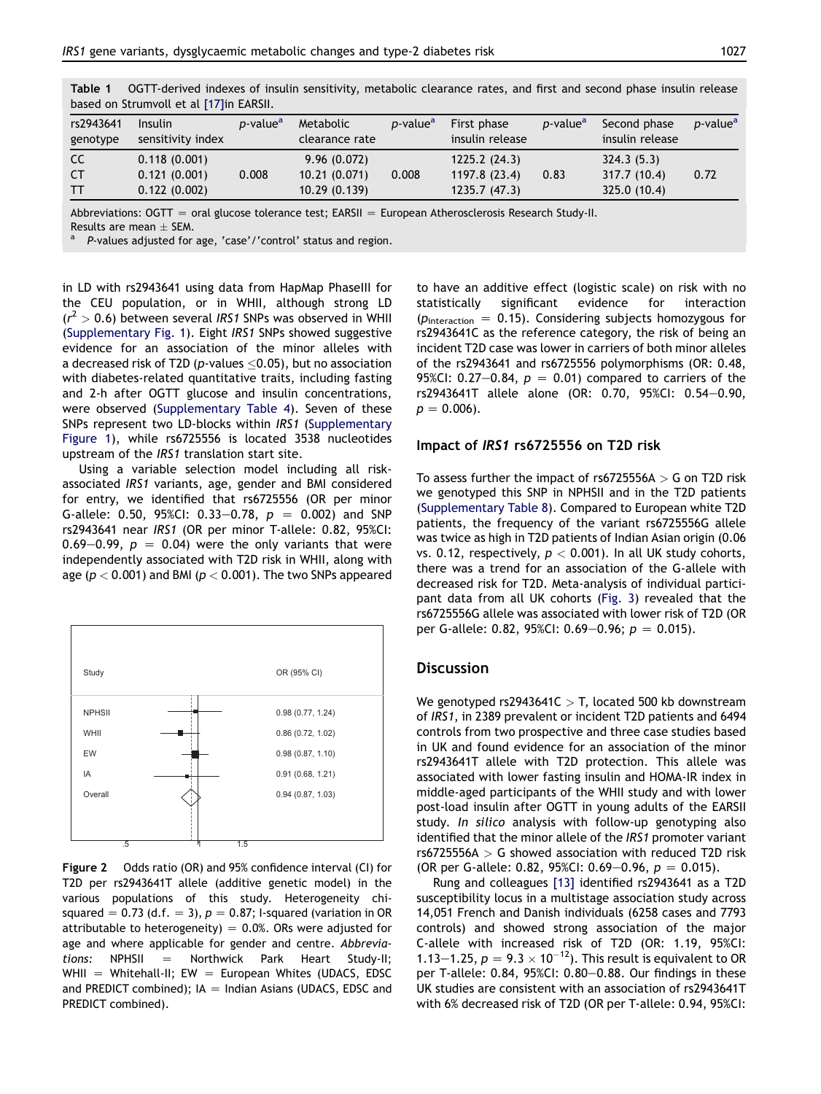| rs2943641<br>genotype | Insulin<br>sensitivity index | <i>p</i> -value <sup>a</sup> | Metabolic<br>clearance rate | <i>p</i> -value <sup>a</sup> | First phase<br>insulin release | <i>p</i> -value <sup>a</sup> | Second phase<br>insulin release | <i>p</i> -value <sup>a</sup> |  |  |
|-----------------------|------------------------------|------------------------------|-----------------------------|------------------------------|--------------------------------|------------------------------|---------------------------------|------------------------------|--|--|
| CC.                   | 0.118(0.001)                 |                              | 9.96(0.072)                 |                              | 1225.2(24.3)                   |                              | 324.3(5.3)                      |                              |  |  |
| <b>CT</b>             | 0.121(0.001)                 | 0.008                        | 10.21(0.071)                | 0.008                        | 1197.8 (23.4)                  | 0.83                         | 317.7 (10.4)                    | 0.72                         |  |  |
| <b>TT</b>             | 0.122(0.002)                 |                              | 10.29(0.139)                |                              | 1235.7(47.3)                   |                              | 325.0 (10.4)                    |                              |  |  |
|                       |                              |                              |                             |                              |                                |                              |                                 |                              |  |  |

<span id="page-3-0"></span>Table 1 OGTT-derived indexes of insulin sensitivity, metabolic clearance rates, and first and second phase insulin release based on Strumvoll et al [\[17\]i](#page-5-0)n EARSII.

Abbreviations: OGTT = oral glucose tolerance test; EARSII = European Atherosclerosis Research Study-II.

Results are mean  $\pm$  SEM.<br><sup>a</sup> P-values adjusted for age, 'case'/'control' status and region.

in LD with rs2943641 using data from HapMap PhaseIII for the CEU population, or in WHII, although strong LD  $(r^2 > 0.6)$  between several IRS1 SNPs was observed in WHII (Supplementary Fig. 1). Eight IRS1 SNPs showed suggestive evidence for an association of the minor alleles with a decreased risk of T2D (p-values  $\leq$ 0.05), but no association with diabetes-related quantitative traits, including fasting and 2-h after OGTT glucose and insulin concentrations, were observed (Supplementary Table 4). Seven of these SNPs represent two LD-blocks within IRS1 (Supplementary Figure 1), while rs6725556 is located 3538 nucleotides upstream of the IRS1 translation start site.

Using a variable selection model including all riskassociated IRS1 variants, age, gender and BMI considered for entry, we identified that rs6725556 (OR per minor G-allele: 0.50, 95%CI: 0.33-0.78,  $p = 0.002$ ) and SNP rs2943641 near IRS1 (OR per minor T-allele: 0.82, 95%CI: 0.69–0.99,  $p = 0.04$ ) were the only variants that were independently associated with T2D risk in WHII, along with age ( $p < 0.001$ ) and BMI ( $p < 0.001$ ). The two SNPs appeared



Figure 2 Odds ratio (OR) and 95% confidence interval (CI) for T2D per rs2943641T allele (additive genetic model) in the various populations of this study. Heterogeneity chisquared = 0.73 (d.f. = 3),  $p = 0.87$ ; I-squared (variation in OR attributable to heterogeneity) =  $0.0%$ . ORs were adjusted for age and where applicable for gender and centre. Abbrevia $tions:$  NPHSII = Northwick Park Heart Study-II; WHII = Whitehall-II; EW = European Whites (UDACS, EDSC and PREDICT combined);  $IA =$  Indian Asians (UDACS, EDSC and PREDICT combined).

to have an additive effect (logistic scale) on risk with no statistically significant evidence for interaction ( $p_{\text{interaction}} = 0.15$ ). Considering subjects homozygous for rs2943641C as the reference category, the risk of being an incident T2D case was lower in carriers of both minor alleles of the rs2943641 and rs6725556 polymorphisms (OR: 0.48, 95%CI: 0.27-0.84,  $p = 0.01$ ) compared to carriers of the rs2943641T allele alone (OR: 0.70, 95%CI: 0.54-0.90,  $p = 0.006$ .

#### Impact of IRS1 rs6725556 on T2D risk

To assess further the impact of  $rs672556A > G$  on T2D risk we genotyped this SNP in NPHSII and in the T2D patients (Supplementary Table 8). Compared to European white T2D patients, the frequency of the variant rs6725556G allele was twice as high in T2D patients of Indian Asian origin (0.06 vs. 0.12, respectively,  $p < 0.001$ ). In all UK study cohorts, there was a trend for an association of the G-allele with decreased risk for T2D. Meta-analysis of individual participant data from all UK cohorts ([Fig. 3\)](#page-4-0) revealed that the rs6725556G allele was associated with lower risk of T2D (OR per G-allele: 0.82, 95%CI: 0.69-0.96;  $p = 0.015$ ).

## **Discussion**

We genotyped rs2943641C  $>$  T, located 500 kb downstream of IRS1, in 2389 prevalent or incident T2D patients and 6494 controls from two prospective and three case studies based in UK and found evidence for an association of the minor rs2943641T allele with T2D protection. This allele was associated with lower fasting insulin and HOMA-IR index in middle-aged participants of the WHII study and with lower post-load insulin after OGTT in young adults of the EARSII study. In silico analysis with follow-up genotyping also identified that the minor allele of the IRS1 promoter variant  $rs6725556A > G$  showed association with reduced T2D risk (OR per G-allele: 0.82, 95%CI: 0.69-0.96,  $p = 0.015$ ).

Rung and colleagues [\[13\]](#page-5-0) identified rs2943641 as a T2D susceptibility locus in a multistage association study across 14,051 French and Danish individuals (6258 cases and 7793 controls) and showed strong association of the major C-allele with increased risk of T2D (OR: 1.19, 95%CI: 1.13–1.25,  $p = 9.3 \times 10^{-12}$ . This result is equivalent to OR per T-allele:  $0.84$ ,  $95\%$ CI:  $0.80 - 0.88$ . Our findings in these UK studies are consistent with an association of rs2943641T with 6% decreased risk of T2D (OR per T-allele: 0.94, 95%CI: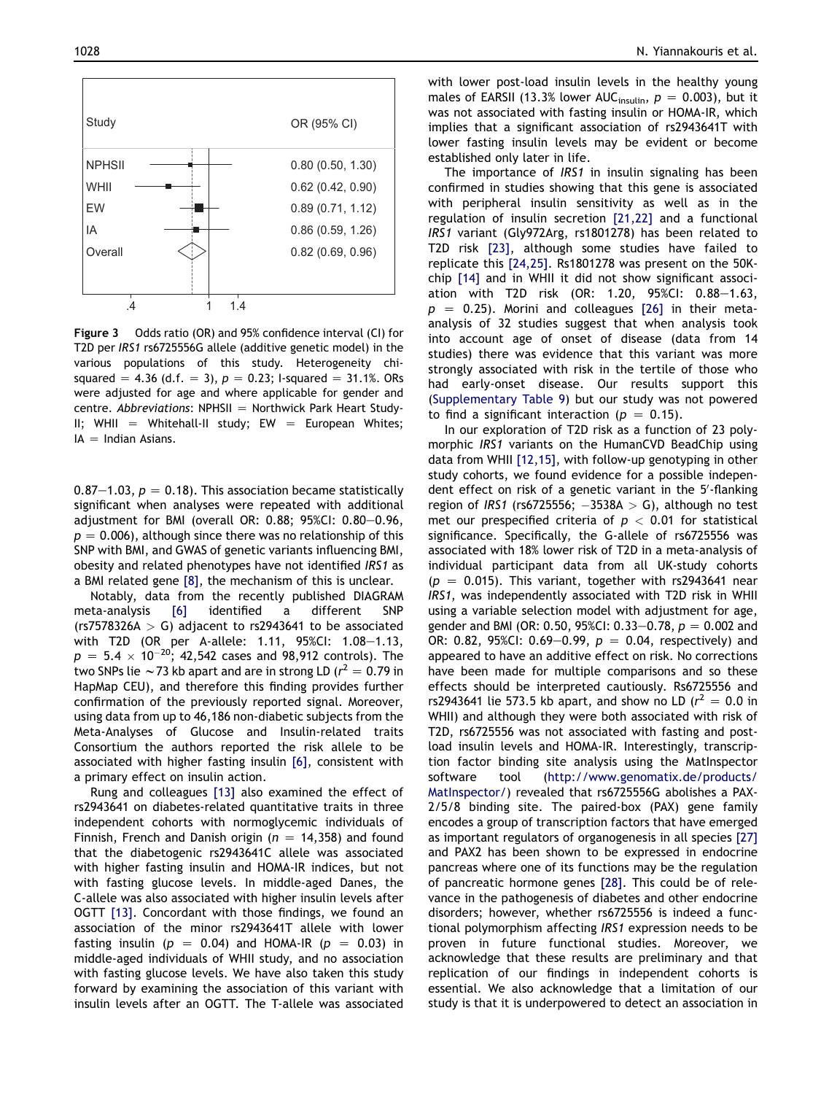<span id="page-4-0"></span>

Figure 3 Odds ratio (OR) and 95% confidence interval (CI) for T2D per IRS1 rs6725556G allele (additive genetic model) in the various populations of this study. Heterogeneity chisquared = 4.36 (d.f. = 3),  $p = 0.23$ ; I-squared = 31.1%. ORs were adjusted for age and where applicable for gender and centre. Abbreviations:  $NPHSII = Northwick Park Heart Study-$ II; WHII = Whitehall-II study; EW = European Whites;  $IA =$  Indian Asians.

0.87–1.03,  $p = 0.18$ ). This association became statistically significant when analyses were repeated with additional adjustment for BMI (overall OR: 0.88; 95%CI:  $0.80-0.96$ ,  $p = 0.006$ , although since there was no relationship of this SNP with BMI, and GWAS of genetic variants influencing BMI, obesity and related phenotypes have not identified IRS1 as a BMI related gene [\[8\]](#page-5-0), the mechanism of this is unclear.

Notably, data from the recently published DIAGRAM meta-analysis [\[6\]](#page-5-0) identified a different SNP (rs7578326A  $>$  G) adjacent to rs2943641 to be associated with T2D (OR per A-allele: 1.11,  $95\%$ CI: 1.08-1.13,  $p = 5.4 \times 10^{-20}$ ; 42,542 cases and 98,912 controls). The two SNPs lie  $\sim$ 73 kb apart and are in strong LD ( $r^2 = 0.79$  in HapMap CEU), and therefore this finding provides further confirmation of the previously reported signal. Moreover, using data from up to 46,186 non-diabetic subjects from the Meta-Analyses of Glucose and Insulin-related traits Consortium the authors reported the risk allele to be associated with higher fasting insulin [\[6\]](#page-5-0), consistent with a primary effect on insulin action.

Rung and colleagues [\[13\]](#page-5-0) also examined the effect of rs2943641 on diabetes-related quantitative traits in three independent cohorts with normoglycemic individuals of Finnish, French and Danish origin ( $n = 14,358$ ) and found that the diabetogenic rs2943641C allele was associated with higher fasting insulin and HOMA-IR indices, but not with fasting glucose levels. In middle-aged Danes, the C-allele was also associated with higher insulin levels after OGTT [\[13\]](#page-5-0). Concordant with those findings, we found an association of the minor rs2943641T allele with lower fasting insulin ( $p = 0.04$ ) and HOMA-IR ( $p = 0.03$ ) in middle-aged individuals of WHII study, and no association with fasting glucose levels. We have also taken this study forward by examining the association of this variant with insulin levels after an OGTT. The T-allele was associated with lower post-load insulin levels in the healthy young males of EARSII (13.3% lower AUC<sub>insulin</sub>,  $p = 0.003$ ), but it was not associated with fasting insulin or HOMA-IR, which implies that a significant association of rs2943641T with lower fasting insulin levels may be evident or become established only later in life.

The importance of IRS1 in insulin signaling has been confirmed in studies showing that this gene is associated with peripheral insulin sensitivity as well as in the regulation of insulin secretion [\[21,22\]](#page-6-0) and a functional IRS1 variant (Gly972Arg, rs1801278) has been related to T2D risk [\[23\]](#page-6-0), although some studies have failed to replicate this [\[24,25\].](#page-6-0) Rs1801278 was present on the 50Kchip [\[14\]](#page-5-0) and in WHII it did not show significant association with T2D risk (OR: 1.20,  $95\%$ CI: 0.88-1.63,  $p = 0.25$ ). Morini and colleagues [\[26\]](#page-6-0) in their metaanalysis of 32 studies suggest that when analysis took into account age of onset of disease (data from 14 studies) there was evidence that this variant was more strongly associated with risk in the tertile of those who had early-onset disease. Our results support this (Supplementary Table 9) but our study was not powered to find a significant interaction ( $p = 0.15$ ).

In our exploration of T2D risk as a function of 23 polymorphic IRS1 variants on the HumanCVD BeadChip using data from WHII [\[12,15\]](#page-5-0), with follow-up genotyping in other study cohorts, we found evidence for a possible independent effect on risk of a genetic variant in the 5'-flanking region of IRS1 (rs6725556;  $-3538A > G$ ), although no test met our prespecified criteria of  $p < 0.01$  for statistical significance. Specifically, the G-allele of rs6725556 was associated with 18% lower risk of T2D in a meta-analysis of individual participant data from all UK-study cohorts  $(p = 0.015)$ . This variant, together with rs2943641 near IRS1, was independently associated with T2D risk in WHII using a variable selection model with adjustment for age, gender and BMI (OR: 0.50, 95%CI: 0.33–0.78,  $p = 0.002$  and OR: 0.82, 95%CI: 0.69–0.99,  $p = 0.04$ , respectively) and appeared to have an additive effect on risk. No corrections have been made for multiple comparisons and so these effects should be interpreted cautiously. Rs6725556 and rs2943641 lie 573.5 kb apart, and show no LD ( $r^2 = 0.0$  in WHII) and although they were both associated with risk of T2D, rs6725556 was not associated with fasting and postload insulin levels and HOMA-IR. Interestingly, transcription factor binding site analysis using the MatInspector software tool ([http://www.genomatix.de/products/](http://www.genomatix.de/products/MatInspector/) [MatInspector/\)](http://www.genomatix.de/products/MatInspector/) revealed that rs6725556G abolishes a PAX-2/5/8 binding site. The paired-box (PAX) gene family encodes a group of transcription factors that have emerged as important regulators of organogenesis in all species [\[27\]](#page-6-0) and PAX2 has been shown to be expressed in endocrine pancreas where one of its functions may be the regulation of pancreatic hormone genes [\[28\].](#page-6-0) This could be of relevance in the pathogenesis of diabetes and other endocrine disorders; however, whether rs6725556 is indeed a functional polymorphism affecting IRS1 expression needs to be proven in future functional studies. Moreover, we acknowledge that these results are preliminary and that replication of our findings in independent cohorts is essential. We also acknowledge that a limitation of our study is that it is underpowered to detect an association in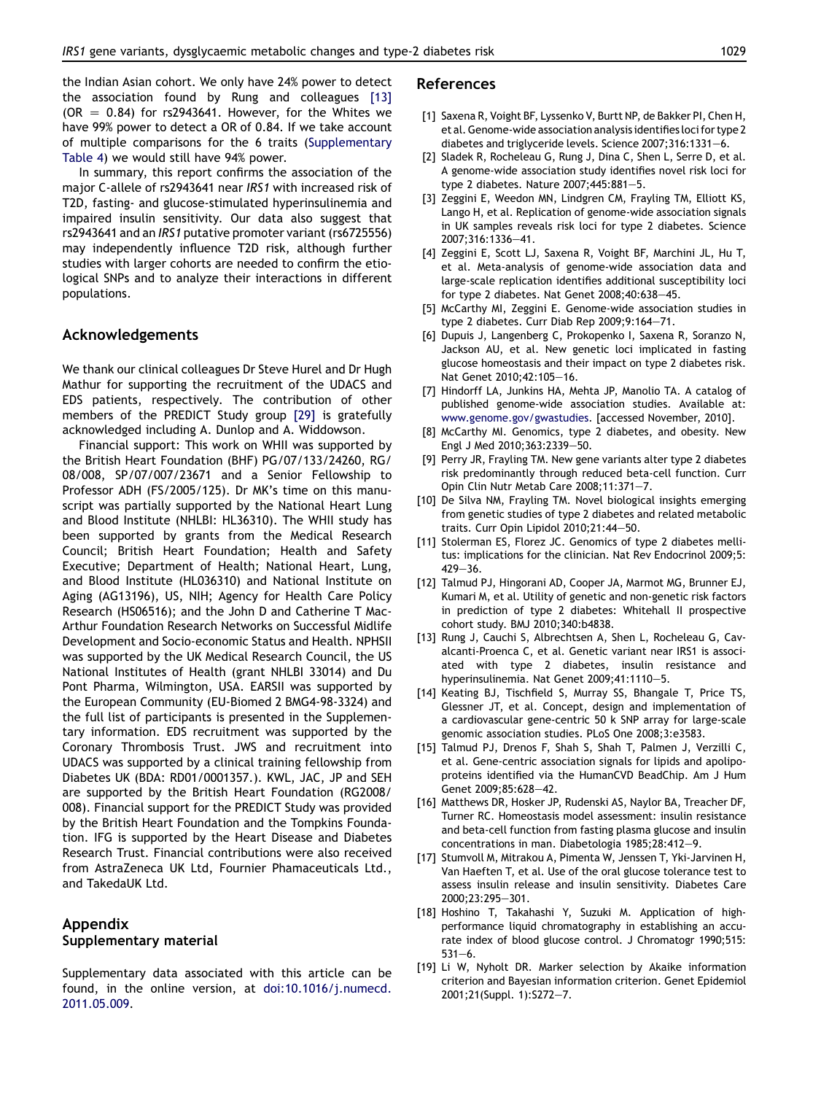<span id="page-5-0"></span>the Indian Asian cohort. We only have 24% power to detect the association found by Rung and colleagues [13]  $(OR = 0.84)$  for rs2943641. However, for the Whites we have 99% power to detect a OR of 0.84. If we take account of multiple comparisons for the 6 traits (Supplementary Table 4) we would still have 94% power.

In summary, this report confirms the association of the major C-allele of rs2943641 near IRS1 with increased risk of T2D, fasting- and glucose-stimulated hyperinsulinemia and impaired insulin sensitivity. Our data also suggest that rs2943641 and an IRS1 putative promoter variant (rs6725556) may independently influence T2D risk, although further studies with larger cohorts are needed to confirm the etiological SNPs and to analyze their interactions in different populations.

## Acknowledgements

We thank our clinical colleagues Dr Steve Hurel and Dr Hugh Mathur for supporting the recruitment of the UDACS and EDS patients, respectively. The contribution of other members of the PREDICT Study group [\[29\]](#page-6-0) is gratefully acknowledged including A. Dunlop and A. Widdowson.

Financial support: This work on WHII was supported by the British Heart Foundation (BHF) PG/07/133/24260, RG/ 08/008, SP/07/007/23671 and a Senior Fellowship to Professor ADH (FS/2005/125). Dr MK's time on this manuscript was partially supported by the National Heart Lung and Blood Institute (NHLBI: HL36310). The WHII study has been supported by grants from the Medical Research Council; British Heart Foundation; Health and Safety Executive; Department of Health; National Heart, Lung, and Blood Institute (HL036310) and National Institute on Aging (AG13196), US, NIH; Agency for Health Care Policy Research (HS06516); and the John D and Catherine T Mac-Arthur Foundation Research Networks on Successful Midlife Development and Socio-economic Status and Health. NPHSII was supported by the UK Medical Research Council, the US National Institutes of Health (grant NHLBI 33014) and Du Pont Pharma, Wilmington, USA. EARSII was supported by the European Community (EU-Biomed 2 BMG4-98-3324) and the full list of participants is presented in the Supplementary information. EDS recruitment was supported by the Coronary Thrombosis Trust. JWS and recruitment into UDACS was supported by a clinical training fellowship from Diabetes UK (BDA: RD01/0001357.). KWL, JAC, JP and SEH are supported by the British Heart Foundation (RG2008/ 008). Financial support for the PREDICT Study was provided by the British Heart Foundation and the Tompkins Foundation. IFG is supported by the Heart Disease and Diabetes Research Trust. Financial contributions were also received from AstraZeneca UK Ltd, Fournier Phamaceuticals Ltd., and TakedaUK Ltd.

## Appendix Supplementary material

Supplementary data associated with this article can be found, in the online version, at [doi:10.1016/j.numecd.](http://dx.doi.org/doi:10.1016/j.numecd.2011.05.009) [2011.05.009.](http://dx.doi.org/doi:10.1016/j.numecd.2011.05.009)

#### References

- [1] Saxena R, Voight BF, Lyssenko V, Burtt NP, de Bakker PI, Chen H, et al. Genome-wide association analysis identifies loci for type 2 diabetes and triglyceride levels. Science 2007;316:1331-6.
- [2] Sladek R, Rocheleau G, Rung J, Dina C, Shen L, Serre D, et al. A genome-wide association study identifies novel risk loci for type 2 diabetes. Nature  $2007;445:881-5$ .
- [3] Zeggini E, Weedon MN, Lindgren CM, Frayling TM, Elliott KS, Lango H, et al. Replication of genome-wide association signals in UK samples reveals risk loci for type 2 diabetes. Science 2007;316:1336-41.
- [4] Zeggini E, Scott LJ, Saxena R, Voight BF, Marchini JL, Hu T, et al. Meta-analysis of genome-wide association data and large-scale replication identifies additional susceptibility loci for type 2 diabetes. Nat Genet  $2008;40:638-45$ .
- [5] McCarthy MI, Zeggini E. Genome-wide association studies in type 2 diabetes. Curr Diab Rep 2009;9:164 $-71$ .
- [6] Dupuis J, Langenberg C, Prokopenko I, Saxena R, Soranzo N, Jackson AU, et al. New genetic loci implicated in fasting glucose homeostasis and their impact on type 2 diabetes risk. Nat Genet 2010:42:105-16.
- [7] Hindorff LA, Junkins HA, Mehta JP, Manolio TA. A catalog of published genome-wide association studies. Available at: [www.genome.gov/gwastudies](http://www.genome.gov/gwastudies). [accessed November, 2010].
- [8] McCarthy MI. Genomics, type 2 diabetes, and obesity. New Engl J Med 2010;363:2339-50.
- [9] Perry JR, Frayling TM. New gene variants alter type 2 diabetes risk predominantly through reduced beta-cell function. Curr Opin Clin Nutr Metab Care 2008;11:371-7.
- [10] De Silva NM, Frayling TM. Novel biological insights emerging from genetic studies of type 2 diabetes and related metabolic traits. Curr Opin Lipidol 2010;21:44-50.
- [11] Stolerman ES, Florez JC. Genomics of type 2 diabetes mellitus: implications for the clinician. Nat Rev Endocrinol 2009;5:  $429 - 36.$
- [12] Talmud PJ, Hingorani AD, Cooper JA, Marmot MG, Brunner EJ, Kumari M, et al. Utility of genetic and non-genetic risk factors in prediction of type 2 diabetes: Whitehall II prospective cohort study. BMJ 2010;340:b4838.
- [13] Rung J, Cauchi S, Albrechtsen A, Shen L, Rocheleau G, Cavalcanti-Proenca C, et al. Genetic variant near IRS1 is associated with type 2 diabetes, insulin resistance and hyperinsulinemia. Nat Genet 2009;41:1110-5.
- [14] Keating BJ, Tischfield S, Murray SS, Bhangale T, Price TS, Glessner JT, et al. Concept, design and implementation of a cardiovascular gene-centric 50 k SNP array for large-scale genomic association studies. PLoS One 2008;3:e3583.
- [15] Talmud PJ, Drenos F, Shah S, Shah T, Palmen J, Verzilli C, et al. Gene-centric association signals for lipids and apolipoproteins identified via the HumanCVD BeadChip. Am J Hum Genet 2009;85:628-42.
- [16] Matthews DR, Hosker JP, Rudenski AS, Naylor BA, Treacher DF, Turner RC. Homeostasis model assessment: insulin resistance and beta-cell function from fasting plasma glucose and insulin concentrations in man. Diabetologia 1985;28:412-9.
- [17] Stumvoll M, Mitrakou A, Pimenta W, Jenssen T, Yki-Jarvinen H, Van Haeften T, et al. Use of the oral glucose tolerance test to assess insulin release and insulin sensitivity. Diabetes Care 2000:23:295-301.
- [18] Hoshino T, Takahashi Y, Suzuki M. Application of highperformance liquid chromatography in establishing an accurate index of blood glucose control. J Chromatogr 1990;515:  $531 - 6.$
- [19] Li W, Nyholt DR. Marker selection by Akaike information criterion and Bayesian information criterion. Genet Epidemiol 2001;21(Suppl. 1):S272-7.